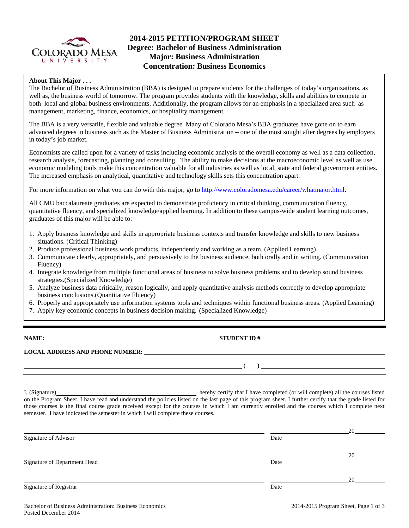

# **2014-2015 PETITION/PROGRAM SHEET Degree: Bachelor of Business Administration Major: Business Administration Concentration: Business Economics**

## **About This Major . . .**

The Bachelor of Business Administration (BBA) is designed to prepare students for the challenges of today's organizations, as well as, the business world of tomorrow. The program provides students with the knowledge, skills and abilities to compete in both local and global business environments. Additionally, the program allows for an emphasis in a specialized area such as management, marketing, finance, economics, or hospitality management.

The BBA is a very versatile, flexible and valuable degree. Many of Colorado Mesa's BBA graduates have gone on to earn advanced degrees in business such as the Master of Business Administration – one of the most sought after degrees by employers in today's job market.

Economists are called upon for a variety of tasks including economic analysis of the overall economy as well as a data collection, research analysis, forecasting, planning and consulting. The ability to make decisions at the macroeconomic level as well as use economic modeling tools make this concentration valuable for all industries as well as local, state and federal government entities. The increased emphasis on analytical, quantitative and technology skills sets this concentration apart.

For more information on what you can do with this major, go to http://www.coloradomesa.edu/career/whatmajor.html.

All CMU baccalaureate graduates are expected to demonstrate proficiency in critical thinking, communication fluency, quantitative fluency, and specialized knowledge/applied learning. In addition to these campus-wide student learning outcomes, graduates of this major will be able to:

- 1. Apply business knowledge and skills in appropriate business contexts and transfer knowledge and skills to new business situations. (Critical Thinking)
- 2. Produce professional business work products, independently and working as a team. (Applied Learning)
- 3. Communicate clearly, appropriately, and persuasively to the business audience, both orally and in writing. (Communication Fluency)
- 4. Integrate knowledge from multiple functional areas of business to solve business problems and to develop sound business strategies.(Specialized Knowledge)
- 5. Analyze business data critically, reason logically, and apply quantitative analysis methods correctly to develop appropriate business conclusions.(Quantitative Fluency)
- 6. Properly and appropriately use information systems tools and techniques within functional business areas. (Applied Learning)
- 7. Apply key economic concepts in business decision making. (Specialized Knowledge)

**NAME: STUDENT ID #**

**LOCAL ADDRESS AND PHONE NUMBER:**

I, (Signature) , hereby certify that I have completed (or will complete) all the courses listed on the Program Sheet. I have read and understand the policies listed on the last page of this program sheet. I further certify that the grade listed for those courses is the final course grade received except for the courses in which I am currently enrolled and the courses which I complete next semester. I have indicated the semester in which I will complete these courses.

|                              |      | 20 |
|------------------------------|------|----|
| Signature of Advisor         | Date |    |
|                              |      | 20 |
| Signature of Department Head | Date |    |
|                              |      | 20 |
| Signature of Registrar       | Date |    |

 **( )**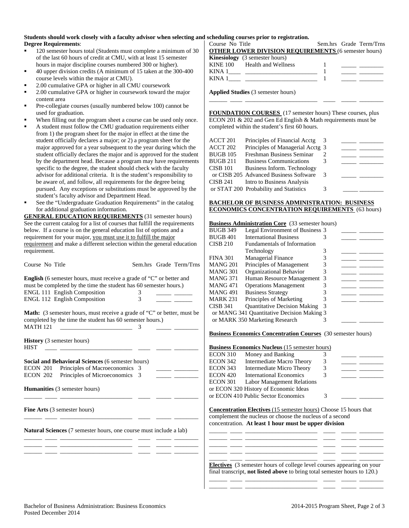#### **Students should work closely with a faculty advisor when selecting and scheduling courses prior to registration. Degree Requirements**:

- 120 semester hours total (Students must complete a minimum of 30 of the last 60 hours of credit at CMU, with at least 15 semester hours in major discipline courses numbered 300 or higher).
- 40 upper division credits (A minimum of 15 taken at the 300-400 course levels within the major at CMU).
- 2.00 cumulative GPA or higher in all CMU coursework
- 2.00 cumulative GPA or higher in coursework toward the major content area
- Pre-collegiate courses (usually numbered below 100) cannot be used for graduation.
- When filling out the program sheet a course can be used only once.
- A student must follow the CMU graduation requirements either from 1) the program sheet for the major in effect at the time the student officially declares a major; or 2) a program sheet for the major approved for a year subsequent to the year during which the student officially declares the major and is approved for the student by the department head. Because a program may have requirements specific to the degree, the student should check with the faculty advisor for additional criteria. It is the student's responsibility to be aware of, and follow, all requirements for the degree being pursued. Any exceptions or substitutions must be approved by the student's faculty advisor and Department Head.
- See the "Undergraduate Graduation Requirements" in the catalog for additional graduation information.

**GENERAL EDUCATION REQUIREMENTS** (31 semester hours) See the current catalog for a list of courses that fulfill the requirements below. If a course is on the general education list of options and a requirement for your major, you must use it to fulfill the major requirement and make a different selection within the general education requirement.

**English** (6 semester hours, must receive a grade of "C" or better and must be completed by the time the student has 60 semester hours.) ENGL 111 English Composition 3 ENGL 112 English Composition 3

Course No Title Sem.hrs Grade Term/Trns

**Math:** (3 semester hours, must receive a grade of "C" or better, must be completed by the time the student has 60 semester hours.) MATH 121 \_\_\_\_\_\_\_\_\_\_\_\_\_\_\_\_\_\_\_\_\_\_\_\_ 3 \_\_\_\_\_ \_\_\_\_\_\_\_\_

**History** (3 semester hours)  $HIST$   $\qquad$   $\qquad$   $\qquad$   $\qquad$   $\qquad$   $\qquad$   $\qquad$   $\qquad$   $\qquad$   $\qquad$   $\qquad$   $\qquad$   $\qquad$   $\qquad$   $\qquad$   $\qquad$   $\qquad$   $\qquad$   $\qquad$   $\qquad$   $\qquad$   $\qquad$   $\qquad$   $\qquad$   $\qquad$   $\qquad$   $\qquad$   $\qquad$   $\qquad$   $\qquad$   $\qquad$   $\qquad$   $\qquad$   $\qquad$   $\qquad$   $\qquad$ 

**Social and Behavioral Sciences** (6 semester hours) ECON 201 Principles of Macroeconomics 3 ECON 202 Principles of Microeconomics 3

**Humanities** (3 semester hours)

**Fine Arts** (3 semester hours)

**Natural Sciences** (7 semester hours, one course must include a lab)

\_\_\_\_\_\_ \_\_\_\_ \_\_\_\_\_\_\_\_\_\_\_\_\_\_\_\_\_\_\_\_\_\_\_\_ \_\_\_\_ \_\_\_\_\_ \_\_\_\_\_\_\_\_

\_\_\_\_\_\_ \_\_\_\_ \_\_\_\_\_\_\_\_\_\_\_\_\_\_\_\_\_\_\_\_\_\_\_\_ \_\_\_\_ \_\_\_\_\_ \_\_\_\_\_\_\_\_

\_\_\_\_\_\_ \_\_\_\_ \_\_\_\_\_\_\_\_\_\_\_\_\_\_\_\_\_\_\_\_\_\_\_\_ \_\_\_\_ \_\_\_\_\_ \_\_\_\_\_\_\_\_ \_\_\_\_\_\_ \_\_\_\_ \_\_\_\_\_\_\_\_\_\_\_\_\_\_\_\_\_\_\_\_\_\_\_\_ \_\_\_\_ \_\_\_\_\_ \_\_\_\_\_\_\_\_ \_\_\_\_\_\_ \_\_\_\_ \_\_\_\_\_\_\_\_\_\_\_\_\_\_\_\_\_\_\_\_\_\_\_\_ \_\_\_\_ \_\_\_\_\_ \_\_\_\_\_\_\_\_ Course No Title Sem.hrs Grade Term/Trns **OTHER LOWER DIVISION REQUIREMENTS** (6 semester hours) **Kinesiology** (3 semester hours) KINE 100 Health and Wellness 1 KINA 1\_\_\_\_ \_\_\_\_\_\_\_\_\_\_\_\_\_\_\_\_\_\_\_\_\_\_\_\_ 1 \_\_\_\_\_ \_\_\_\_\_\_\_\_ KINA 1\_\_\_\_ \_\_\_\_\_\_\_\_\_\_\_\_\_\_\_\_\_\_\_\_\_\_\_\_ 1 \_\_\_\_\_ \_\_\_\_\_\_\_\_

**Applied Studies** (3 semester hours)

**FOUNDATION COURSES** (17 semester hours) These courses, plus ECON 201 & 202 and Gen Ed English & Math requirements must be completed within the student's first 60 hours.

\_\_\_\_\_\_ \_\_\_\_ \_\_\_\_\_\_\_\_\_\_\_\_\_\_\_\_\_\_\_\_\_\_\_\_ \_\_\_\_ \_\_\_\_\_ \_\_\_\_\_\_\_\_

| ACCT 201 | Principles of Financial Acctg          |   |  |
|----------|----------------------------------------|---|--|
| ACCT 202 | Principles of Managerial Acctg 3       |   |  |
| BUGB 105 | Freshman Business Seminar              |   |  |
| BUGB 211 | <b>Business Communications</b>         |   |  |
| CISB 101 | Business Inform. Technology            |   |  |
|          | or CISB 205 Advanced Business Software | 3 |  |
| CISB 241 | Intro to Business Analysis             |   |  |
|          | or STAT 200 Probability and Statistics |   |  |
|          |                                        |   |  |

#### **BACHELOR OF BUSINESS ADMINISTRATION: BUSINESS ECONOMICS CONCENTRATION REQUIREMENTS** (63 hours)

#### **Business Administration Core** (33 semester hours)

| BUGB 349 | Legal Environment of Business 3            |   |  |
|----------|--------------------------------------------|---|--|
| BUGB 401 | <b>International Business</b>              |   |  |
| CISB 210 | <b>Fundamentals of Information</b>         |   |  |
|          | Technology                                 | 3 |  |
| FINA 301 | Managerial Finance                         |   |  |
| MANG 201 | Principles of Management                   |   |  |
| MANG 301 | Organizational Behavior                    |   |  |
| MANG 371 | Human Resource Management 3                |   |  |
| MANG 471 | <b>Operations Management</b>               |   |  |
| MANG 491 | <b>Business Strategy</b>                   |   |  |
| MARK 231 | Principles of Marketing                    |   |  |
| CISB 341 | <b>Quantitative Decision Making</b>        |   |  |
|          | or MANG 341 Quantitative Decision Making 3 |   |  |
|          | or MARK 350 Marketing Research             |   |  |

#### **Business Economics Concentration Courses** (30 semester hours)

## **Business Economics Nucleus** (15 semester hours)

| <b>ECON 310</b> | Money and Banking                     |   |  |
|-----------------|---------------------------------------|---|--|
| <b>ECON 342</b> | Intermediate Macro Theory             | 3 |  |
| <b>ECON 343</b> | Intermediate Micro Theory             | 3 |  |
| <b>ECON 420</b> | <b>International Economics</b>        |   |  |
| <b>ECON 301</b> | <b>Labor Management Relations</b>     |   |  |
|                 | or ECON 320 History of Economic Ideas |   |  |
|                 | or ECON 410 Public Sector Economics   |   |  |

**Concentration Electives** (15 semester hours) Choose 15 hours that complement the nucleus or choose the nucleus of a second concentration. **At least 1 hour must be upper division**

\_\_\_\_\_\_ \_\_\_\_ \_\_\_\_\_\_\_\_\_\_\_\_\_\_\_\_\_\_\_\_\_\_\_\_ \_\_\_\_ \_\_\_\_\_ \_\_\_\_\_\_\_\_ \_\_\_\_\_\_ \_\_\_\_ \_\_\_\_\_\_\_\_\_\_\_\_\_\_\_\_\_\_\_\_\_\_\_\_ \_\_\_\_ \_\_\_\_\_ \_\_\_\_\_\_\_\_ \_\_\_\_\_\_ \_\_\_\_ \_\_\_\_\_\_\_\_\_\_\_\_\_\_\_\_\_\_\_\_\_\_\_\_ \_\_\_\_ \_\_\_\_\_ \_\_\_\_\_\_\_\_ \_\_\_\_\_\_ \_\_\_\_ \_\_\_\_\_\_\_\_\_\_\_\_\_\_\_\_\_\_\_\_\_\_\_\_ \_\_\_\_ \_\_\_\_\_ \_\_\_\_\_\_\_\_

\_\_\_\_\_\_ \_\_\_\_ \_\_\_\_\_\_\_\_\_\_\_\_\_\_\_\_\_\_\_\_\_\_\_\_ \_\_\_\_ \_\_\_\_\_ \_\_\_\_\_\_\_\_ **Electives** (3 semester hours of college level courses appearing on your final transcript, **not listed above** to bring total semester hours to 120.) \_\_\_\_\_\_ \_\_\_\_ \_\_\_\_\_\_\_\_\_\_\_\_\_\_\_\_\_\_\_\_\_\_\_\_ \_\_\_\_ \_\_\_\_\_ \_\_\_\_\_\_\_\_

\_\_\_\_\_\_ \_\_\_\_ \_\_\_\_\_\_\_\_\_\_\_\_\_\_\_\_\_\_\_\_\_\_\_\_ \_\_\_\_ \_\_\_\_\_ \_\_\_\_\_\_\_\_